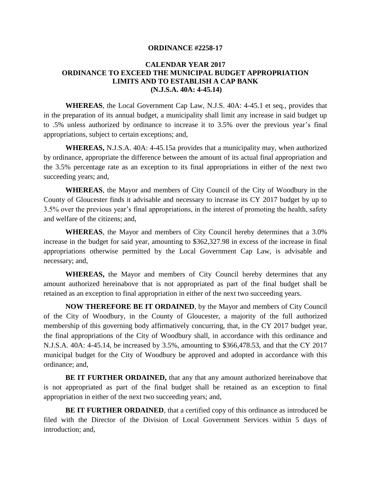## **ORDINANCE #2258-17**

# **CALENDAR YEAR 2017 ORDINANCE TO EXCEED THE MUNICIPAL BUDGET APPROPRIATION LIMITS AND TO ESTABLISH A CAP BANK (N.J.S.A. 40A: 4-45.14)**

**WHEREAS**, the Local Government Cap Law, N.J.S. 40A: 4-45.1 et seq., provides that in the preparation of its annual budget, a municipality shall limit any increase in said budget up to .5% unless authorized by ordinance to increase it to 3.5% over the previous year's final appropriations, subject to certain exceptions; and,

**WHEREAS,** N.J.S.A. 40A: 4-45.15a provides that a municipality may, when authorized by ordinance, appropriate the difference between the amount of its actual final appropriation and the 3.5% percentage rate as an exception to its final appropriations in either of the next two succeeding years; and,

**WHEREAS**, the Mayor and members of City Council of the City of Woodbury in the County of Gloucester finds it advisable and necessary to increase its CY 2017 budget by up to 3.5% over the previous year's final appropriations, in the interest of promoting the health, safety and welfare of the citizens; and,

**WHEREAS**, the Mayor and members of City Council hereby determines that a 3.0% increase in the budget for said year, amounting to \$362,327.98 in excess of the increase in final appropriations otherwise permitted by the Local Government Cap Law, is advisable and necessary; and,

**WHEREAS,** the Mayor and members of City Council hereby determines that any amount authorized hereinabove that is not appropriated as part of the final budget shall be retained as an exception to final appropriation in either of the next two succeeding years.

**NOW THEREFORE BE IT ORDAINED**, by the Mayor and members of City Council of the City of Woodbury, in the County of Gloucester, a majority of the full authorized membership of this governing body affirmatively concurring, that, in the CY 2017 budget year, the final appropriations of the City of Woodbury shall, in accordance with this ordinance and N.J.S.A. 40A: 4-45.14, be increased by 3.5%, amounting to \$366,478.53, and that the CY 2017 municipal budget for the City of Woodbury be approved and adopted in accordance with this ordinance; and,

**BE IT FURTHER ORDAINED,** that any that any amount authorized hereinabove that is not appropriated as part of the final budget shall be retained as an exception to final appropriation in either of the next two succeeding years; and,

**BE IT FURTHER ORDAINED**, that a certified copy of this ordinance as introduced be filed with the Director of the Division of Local Government Services within 5 days of introduction; and,